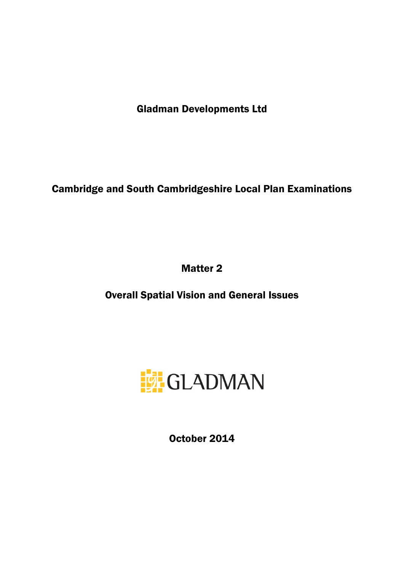Gladman Developments Ltd

Cambridge and South Cambridgeshire Local Plan Examinations

Matter 2

Overall Spatial Vision and General Issues



October 2014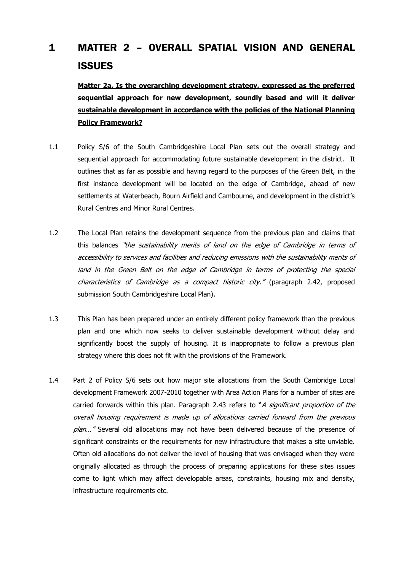## 1 MATTER 2 – OVERALL SPATIAL VISION AND GENERAL **ISSUES**

**Matter 2a. Is the overarching development strategy, expressed as the preferred sequential approach for new development, soundly based and will it deliver sustainable development in accordance with the policies of the National Planning Policy Framework?**

- 1.1 Policy S/6 of the South Cambridgeshire Local Plan sets out the overall strategy and sequential approach for accommodating future sustainable development in the district. It outlines that as far as possible and having regard to the purposes of the Green Belt, in the first instance development will be located on the edge of Cambridge, ahead of new settlements at Waterbeach, Bourn Airfield and Cambourne, and development in the district's Rural Centres and Minor Rural Centres.
- 1.2 The Local Plan retains the development sequence from the previous plan and claims that this balances "the sustainability merits of land on the edge of Cambridge in terms of accessibility to services and facilities and reducing emissions with the sustainability merits of land in the Green Belt on the edge of Cambridge in terms of protecting the special characteristics of Cambridge as a compact historic city." (paragraph 2.42, proposed submission South Cambridgeshire Local Plan).
- 1.3 This Plan has been prepared under an entirely different policy framework than the previous plan and one which now seeks to deliver sustainable development without delay and significantly boost the supply of housing. It is inappropriate to follow a previous plan strategy where this does not fit with the provisions of the Framework.
- 1.4 Part 2 of Policy S/6 sets out how major site allocations from the South Cambridge Local development Framework 2007-2010 together with Area Action Plans for a number of sites are carried forwards within this plan. Paragraph 2.43 refers to "A *significant proportion of the* overall housing requirement is made up of allocations carried forward from the previous plan..." Several old allocations may not have been delivered because of the presence of significant constraints or the requirements for new infrastructure that makes a site unviable. Often old allocations do not deliver the level of housing that was envisaged when they were originally allocated as through the process of preparing applications for these sites issues come to light which may affect developable areas, constraints, housing mix and density, infrastructure requirements etc.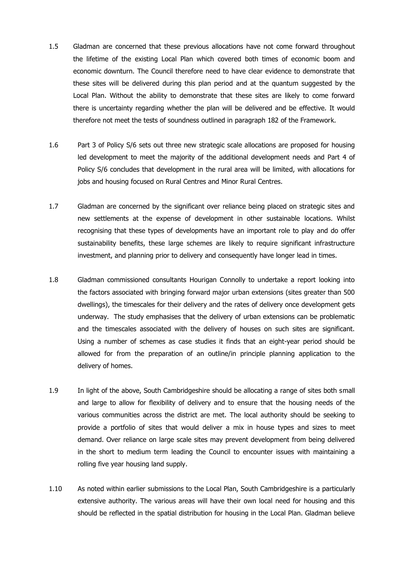- 1.5 Gladman are concerned that these previous allocations have not come forward throughout the lifetime of the existing Local Plan which covered both times of economic boom and economic downturn. The Council therefore need to have clear evidence to demonstrate that these sites will be delivered during this plan period and at the quantum suggested by the Local Plan. Without the ability to demonstrate that these sites are likely to come forward there is uncertainty regarding whether the plan will be delivered and be effective. It would therefore not meet the tests of soundness outlined in paragraph 182 of the Framework.
- 1.6 Part 3 of Policy S/6 sets out three new strategic scale allocations are proposed for housing led development to meet the majority of the additional development needs and Part 4 of Policy S/6 concludes that development in the rural area will be limited, with allocations for jobs and housing focused on Rural Centres and Minor Rural Centres.
- 1.7 Gladman are concerned by the significant over reliance being placed on strategic sites and new settlements at the expense of development in other sustainable locations. Whilst recognising that these types of developments have an important role to play and do offer sustainability benefits, these large schemes are likely to require significant infrastructure investment, and planning prior to delivery and consequently have longer lead in times.
- 1.8 Gladman commissioned consultants Hourigan Connolly to undertake a report looking into the factors associated with bringing forward major urban extensions (sites greater than 500 dwellings), the timescales for their delivery and the rates of delivery once development gets underway. The study emphasises that the delivery of urban extensions can be problematic and the timescales associated with the delivery of houses on such sites are significant. Using a number of schemes as case studies it finds that an eight-year period should be allowed for from the preparation of an outline/in principle planning application to the delivery of homes.
- 1.9 In light of the above, South Cambridgeshire should be allocating a range of sites both small and large to allow for flexibility of delivery and to ensure that the housing needs of the various communities across the district are met. The local authority should be seeking to provide a portfolio of sites that would deliver a mix in house types and sizes to meet demand. Over reliance on large scale sites may prevent development from being delivered in the short to medium term leading the Council to encounter issues with maintaining a rolling five year housing land supply.
- 1.10 As noted within earlier submissions to the Local Plan, South Cambridgeshire is a particularly extensive authority. The various areas will have their own local need for housing and this should be reflected in the spatial distribution for housing in the Local Plan. Gladman believe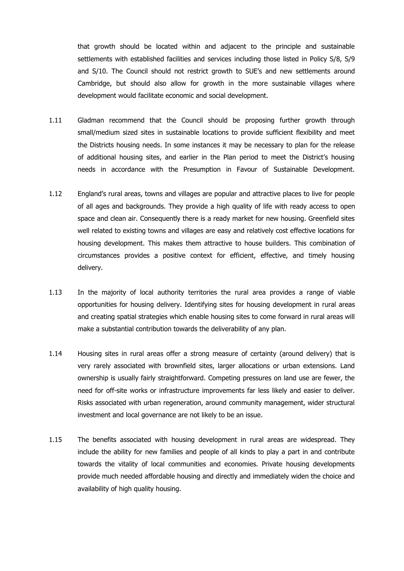that growth should be located within and adjacent to the principle and sustainable settlements with established facilities and services including those listed in Policy S/8, S/9 and S/10. The Council should not restrict growth to SUE's and new settlements around Cambridge, but should also allow for growth in the more sustainable villages where development would facilitate economic and social development.

- 1.11 Gladman recommend that the Council should be proposing further growth through small/medium sized sites in sustainable locations to provide sufficient flexibility and meet the Districts housing needs. In some instances it may be necessary to plan for the release of additional housing sites, and earlier in the Plan period to meet the District's housing needs in accordance with the Presumption in Favour of Sustainable Development.
- 1.12 England's rural areas, towns and villages are popular and attractive places to live for people of all ages and backgrounds. They provide a high quality of life with ready access to open space and clean air. Consequently there is a ready market for new housing. Greenfield sites well related to existing towns and villages are easy and relatively cost effective locations for housing development. This makes them attractive to house builders. This combination of circumstances provides a positive context for efficient, effective, and timely housing delivery.
- 1.13 In the majority of local authority territories the rural area provides a range of viable opportunities for housing delivery. Identifying sites for housing development in rural areas and creating spatial strategies which enable housing sites to come forward in rural areas will make a substantial contribution towards the deliverability of any plan.
- 1.14 Housing sites in rural areas offer a strong measure of certainty (around delivery) that is very rarely associated with brownfield sites, larger allocations or urban extensions. Land ownership is usually fairly straightforward. Competing pressures on land use are fewer, the need for off-site works or infrastructure improvements far less likely and easier to deliver. Risks associated with urban regeneration, around community management, wider structural investment and local governance are not likely to be an issue.
- 1.15 The benefits associated with housing development in rural areas are widespread. They include the ability for new families and people of all kinds to play a part in and contribute towards the vitality of local communities and economies. Private housing developments provide much needed affordable housing and directly and immediately widen the choice and availability of high quality housing.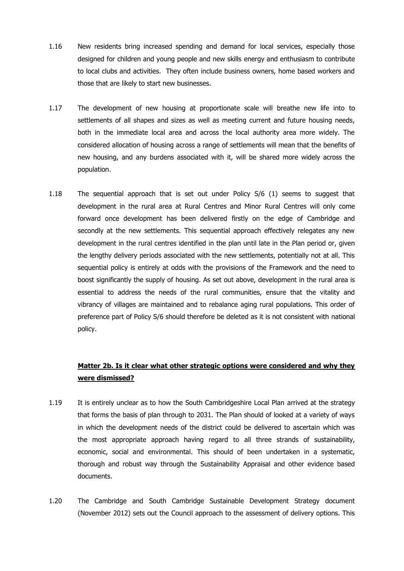- 1.16 New residents bring increased spending and demand for local services, especially those designed for children and young people and new skills energy and enthusiasm to contribute to local clubs and activities. They often include business owners, home based workers and those that are likely to start new businesses.
- 1.17 The development of new housing at proportionate scale will breathe new life into to settlements of all shapes and sizes as well as meeting current and future housing needs, both in the immediate local area and across the local authority area more widely. The considered allocation of housing across a range of settlements will mean that the benefits of new housing, and any burdens associated with it, will be shared more widely across the population.
- 1.18 The sequential approach that is set out under Policy S/6 (1) seems to suggest that development in the rural area at Rural Centres and Minor Rural Centres will only come forward once development has been delivered firstly on the edge of Cambridge and secondly at the new settlements. This sequential approach effectively relegates any new development in the rural centres identified in the plan until late in the Plan period or, given the lengthy delivery periods associated with the new settlements, potentially not at all. This sequential policy is entirely at odds with the provisions of the Framework and the need to boost significantly the supply of housing. As set out above, development in the rural area is essential to address the needs of the rural communities, ensure that the vitality and vibrancy of villages are maintained and to rebalance aging rural populations. This order of preference part of Policy S/6 should therefore be deleted as it is not consistent with national policy.

## **Matter 2b. Is it clear what other strategic options were considered and why they were dismissed?**

- 1.19 It is entirely unclear as to how the South Cambridgeshire Local Plan arrived at the strategy that forms the basis of plan through to 2031. The Plan should of looked at a variety of ways in which the development needs of the district could be delivered to ascertain which was the most appropriate approach having regard to all three strands of sustainability, economic, social and environmental. This should of been undertaken in a systematic, thorough and robust way through the Sustainability Appraisal and other evidence based documents.
- 1.20 The Cambridge and South Cambridge Sustainable Development Strategy document (November 2012) sets out the Council approach to the assessment of delivery options. This